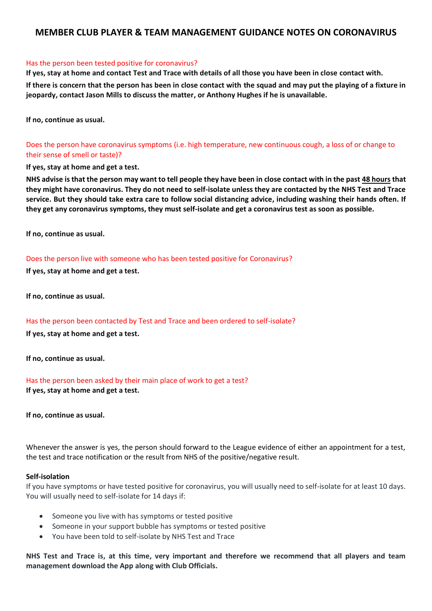# **MEMBER CLUB PLAYER & TEAM MANAGEMENT GUIDANCE NOTES ON CORONAVIRUS**

### Has the person been tested positive for coronavirus?

**If yes, stay at home and contact Test and Trace with details of all those you have been in close contact with.**

**If there is concern that the person has been in close contact with the squad and may put the playing of a fixture in jeopardy, contact Jason Mills to discuss the matter, or Anthony Hughes if he is unavailable.**

**If no, continue as usual.**

Does the person have coronavirus symptoms (i.e. high temperature, new continuous cough, a loss of or change to their sense of smell or taste)?

**If yes, stay at home and get a test.**

**NHS advise is that the person may want to tell people they have been in close contact with in the past 48 hours that they might have coronavirus. They do not need to self-isolate unless they are contacted by the NHS Test and Trace service. But they should take extra care to follow [social distancing advice,](https://www.nhs.uk/conditions/coronavirus-covid-19/social-distancing/what-you-need-to-do/) including washing their hands often. If they get any coronavirus symptoms, they must self-isolate and [get a coronavirus test](https://www.nhs.uk/conditions/coronavirus-covid-19/testing-and-tracing/get-an-antigen-test-to-check-if-you-have-coronavirus/) as soon as possible.**

**If no, continue as usual.**

### Does the person live with someone who has been tested positive for Coronavirus?

**If yes, stay at home and get a test.**

**If no, continue as usual.**

Has the person been contacted by Test and Trace and been ordered to self-isolate? **If yes, stay at home and get a test.**

**If no, continue as usual.**

Has the person been asked by their main place of work to get a test? **If yes, stay at home and get a test.**

**If no, continue as usual.**

Whenever the answer is yes, the person should forward to the League evidence of either an appointment for a test, the test and trace notification or the result from NHS of the positive/negative result.

#### **Self-isolation**

If you have symptoms or have tested positive for coronavirus, you will usually need to self-isolate for at least 10 days. You will usually need to self-isolate for 14 days if:

- Someone you live with has symptoms or tested positive
- Someone in your support bubble has symptoms or tested positive
- You have been told to self-isolate by NHS Test and Trace

**NHS Test and Trace is, at this time, very important and therefore we recommend that all players and team management download the App along with Club Officials.**